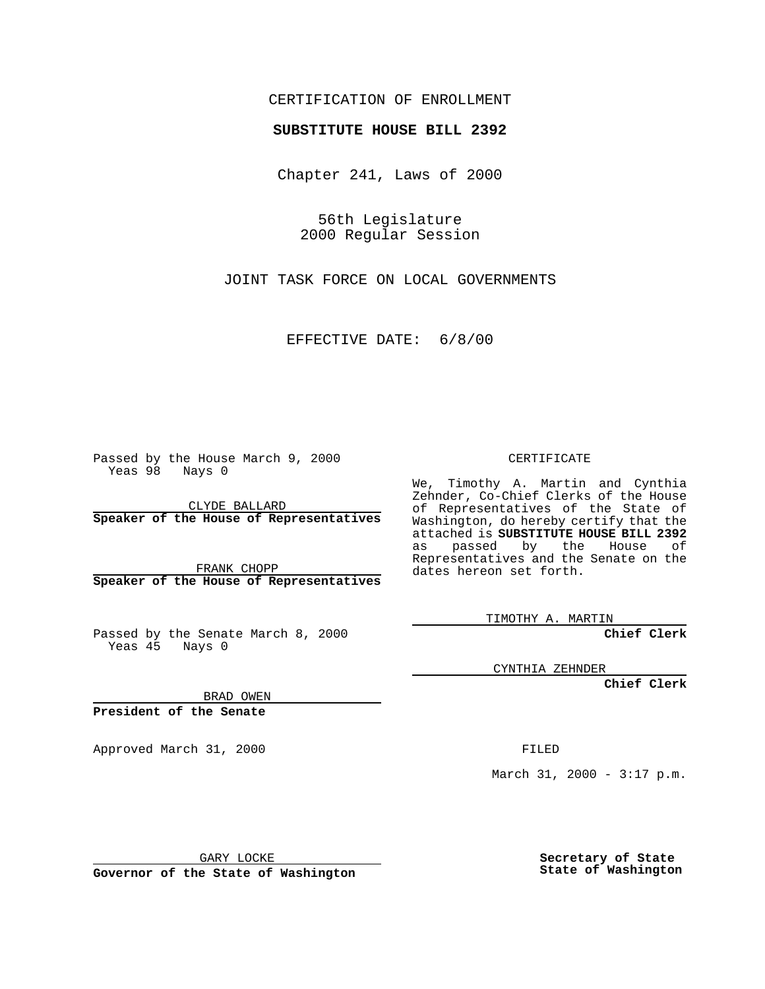### CERTIFICATION OF ENROLLMENT

# **SUBSTITUTE HOUSE BILL 2392**

Chapter 241, Laws of 2000

56th Legislature 2000 Regular Session

JOINT TASK FORCE ON LOCAL GOVERNMENTS

EFFECTIVE DATE: 6/8/00

Passed by the House March 9, 2000 Yeas 98 Nays 0

CLYDE BALLARD **Speaker of the House of Representatives**

FRANK CHOPP **Speaker of the House of Representatives**

Passed by the Senate March 8, 2000 Yeas 45 Nays 0

CERTIFICATE

We, Timothy A. Martin and Cynthia Zehnder, Co-Chief Clerks of the House of Representatives of the State of Washington, do hereby certify that the attached is **SUBSTITUTE HOUSE BILL 2392** as passed by the House of Representatives and the Senate on the dates hereon set forth.

TIMOTHY A. MARTIN

**Chief Clerk**

CYNTHIA ZEHNDER

**Chief Clerk**

BRAD OWEN

**President of the Senate**

Approved March 31, 2000 FILED

March 31, 2000 - 3:17 p.m.

GARY LOCKE

**Governor of the State of Washington**

**Secretary of State State of Washington**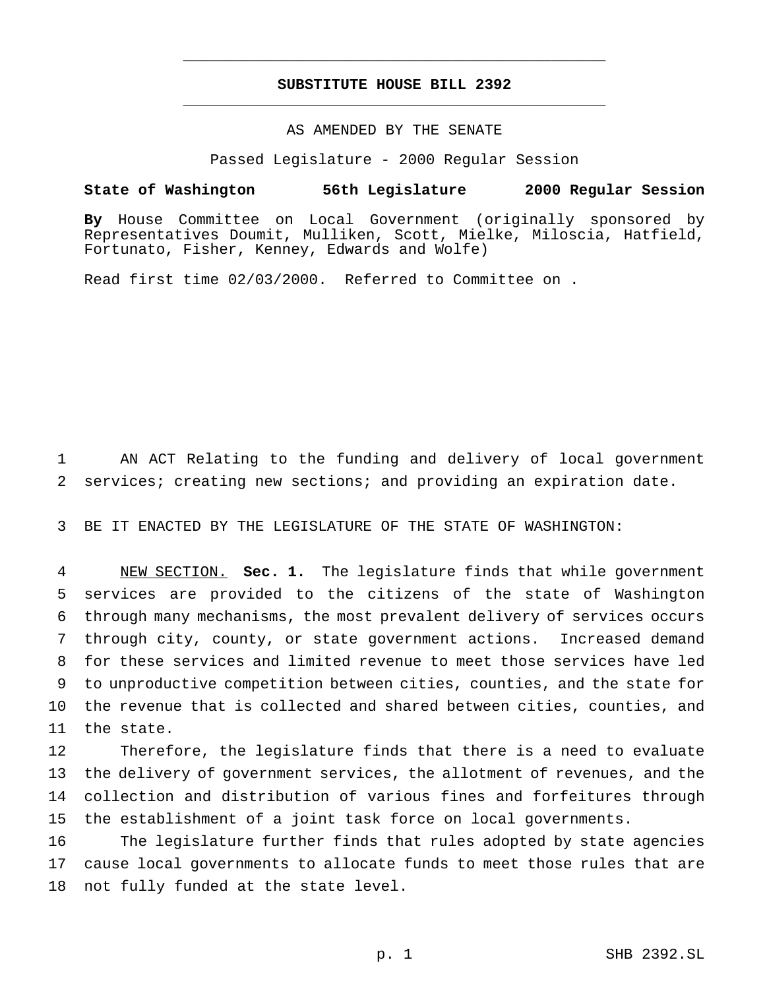## **SUBSTITUTE HOUSE BILL 2392** \_\_\_\_\_\_\_\_\_\_\_\_\_\_\_\_\_\_\_\_\_\_\_\_\_\_\_\_\_\_\_\_\_\_\_\_\_\_\_\_\_\_\_\_\_\_\_

\_\_\_\_\_\_\_\_\_\_\_\_\_\_\_\_\_\_\_\_\_\_\_\_\_\_\_\_\_\_\_\_\_\_\_\_\_\_\_\_\_\_\_\_\_\_\_

#### AS AMENDED BY THE SENATE

Passed Legislature - 2000 Regular Session

#### **State of Washington 56th Legislature 2000 Regular Session**

**By** House Committee on Local Government (originally sponsored by Representatives Doumit, Mulliken, Scott, Mielke, Miloscia, Hatfield, Fortunato, Fisher, Kenney, Edwards and Wolfe)

Read first time 02/03/2000. Referred to Committee on .

 AN ACT Relating to the funding and delivery of local government services; creating new sections; and providing an expiration date.

BE IT ENACTED BY THE LEGISLATURE OF THE STATE OF WASHINGTON:

 NEW SECTION. **Sec. 1.** The legislature finds that while government services are provided to the citizens of the state of Washington through many mechanisms, the most prevalent delivery of services occurs through city, county, or state government actions. Increased demand for these services and limited revenue to meet those services have led to unproductive competition between cities, counties, and the state for the revenue that is collected and shared between cities, counties, and the state.

 Therefore, the legislature finds that there is a need to evaluate the delivery of government services, the allotment of revenues, and the collection and distribution of various fines and forfeitures through the establishment of a joint task force on local governments.

 The legislature further finds that rules adopted by state agencies cause local governments to allocate funds to meet those rules that are not fully funded at the state level.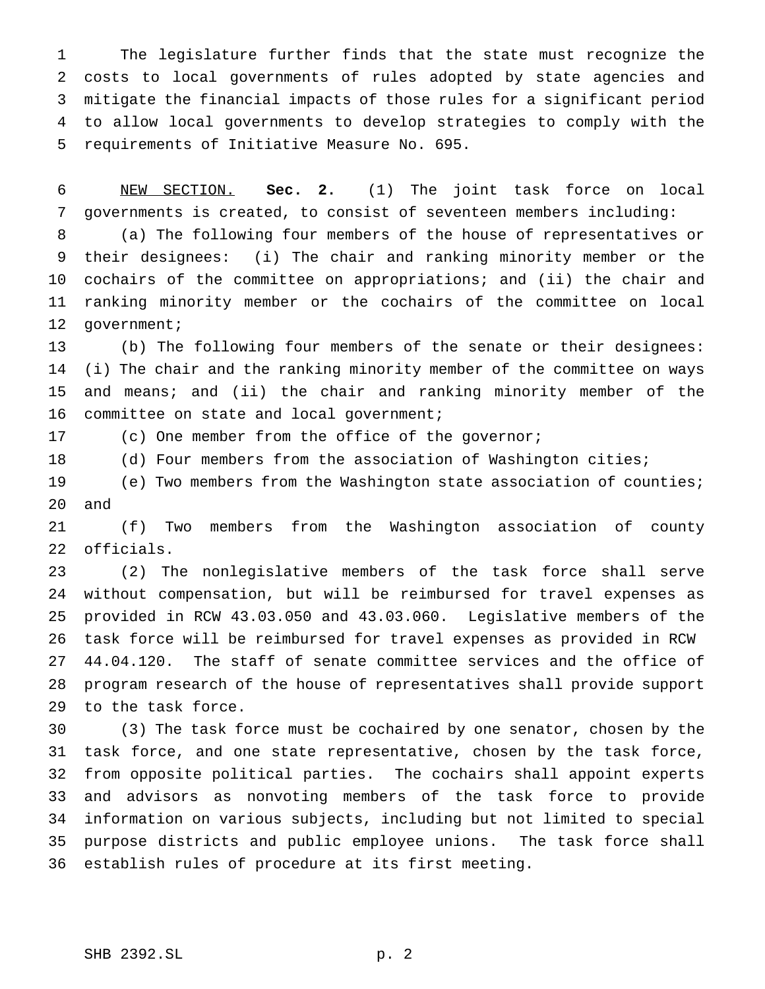The legislature further finds that the state must recognize the costs to local governments of rules adopted by state agencies and mitigate the financial impacts of those rules for a significant period to allow local governments to develop strategies to comply with the requirements of Initiative Measure No. 695.

 NEW SECTION. **Sec. 2.** (1) The joint task force on local governments is created, to consist of seventeen members including:

 (a) The following four members of the house of representatives or their designees: (i) The chair and ranking minority member or the cochairs of the committee on appropriations; and (ii) the chair and ranking minority member or the cochairs of the committee on local 12 government;

 (b) The following four members of the senate or their designees: (i) The chair and the ranking minority member of the committee on ways and means; and (ii) the chair and ranking minority member of the 16 committee on state and local government;

(c) One member from the office of the governor;

18 (d) Four members from the association of Washington cities;

 (e) Two members from the Washington state association of counties; and

 (f) Two members from the Washington association of county officials.

 (2) The nonlegislative members of the task force shall serve without compensation, but will be reimbursed for travel expenses as provided in RCW 43.03.050 and 43.03.060. Legislative members of the task force will be reimbursed for travel expenses as provided in RCW 44.04.120. The staff of senate committee services and the office of program research of the house of representatives shall provide support to the task force.

 (3) The task force must be cochaired by one senator, chosen by the task force, and one state representative, chosen by the task force, from opposite political parties. The cochairs shall appoint experts and advisors as nonvoting members of the task force to provide information on various subjects, including but not limited to special purpose districts and public employee unions. The task force shall establish rules of procedure at its first meeting.